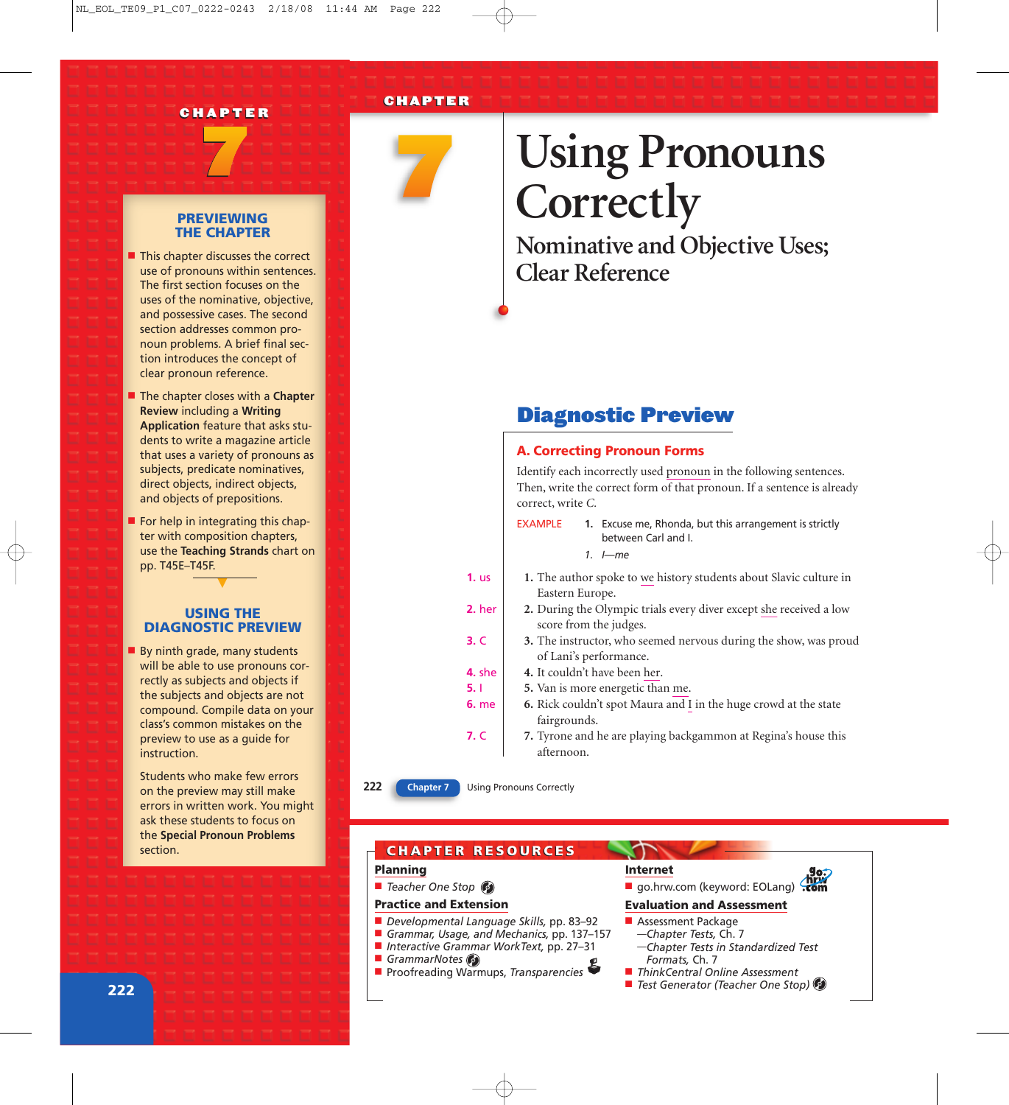



## **Using Pronouns Correctly**

**Nominative and Objective Uses; Clear Reference**

## Diagnostic Preview

A. Correcting Pronoun Forms *Identify each incorrectly used pronoun in the following sentences. Then, write the correct form of that pronoun. If a sentence is already correct, write C.*

| EXAMPLE | 1. Excuse me, Rhonda, but this arrangement is strictly |
|---------|--------------------------------------------------------|
|         | between Carl and I.                                    |

*1. I—me*

- **1.** *The author spoke to we history students about Slavic culture in Eastern Europe.* **1.** us
- **2.** *During the Olympic trials every diver except she received a low score from the judges.* **2.** her
- **3.** *The instructor, who seemed nervous during the show, was proud of Lani's performance.* **3.** C
- **4.** *It couldn't have been her.* **4.** she
	- **5.** *Van is more energetic than me.*
- **6.** *Rick couldn't spot Maura and I in the huge crowd at the state fairgrounds.* **6.** me
- **7.** *Tyrone and he are playing backgammon at Regina's house this afternoon.* **7.** C

**5.** I